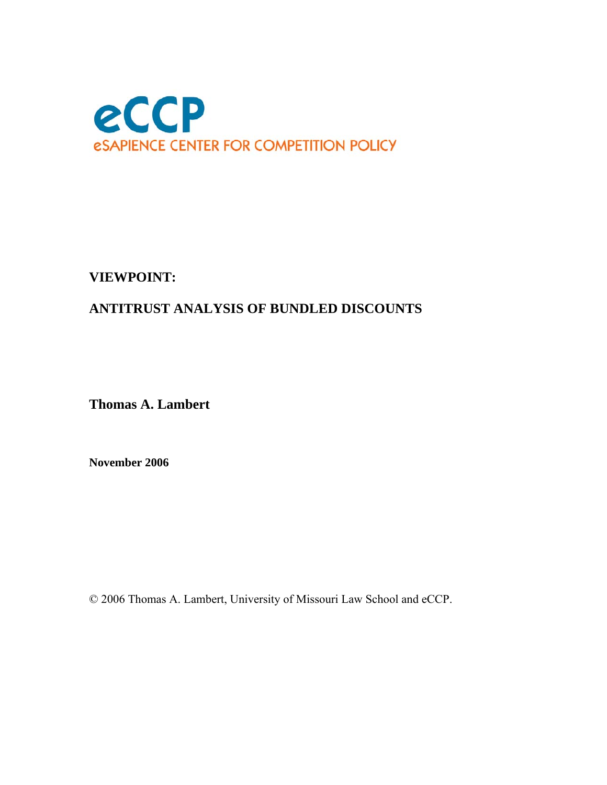

### **VIEWPOINT:**

### **ANTITRUST ANALYSIS OF BUNDLED DISCOUNTS**

**Thomas A. Lambert** 

**November 2006** 

© 2006 Thomas A. Lambert, University of Missouri Law School and eCCP.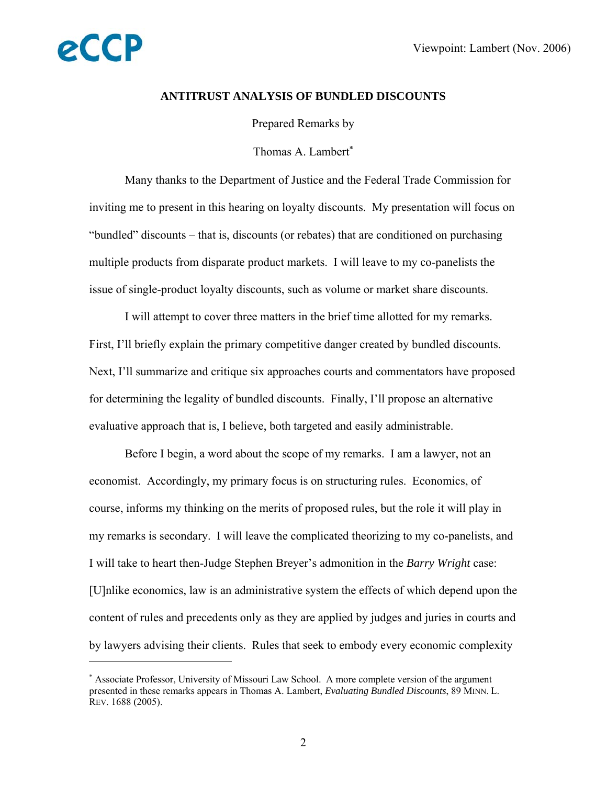

 $\overline{a}$ 

#### **ANTITRUST ANALYSIS OF BUNDLED DISCOUNTS**

Prepared Remarks by

Thomas A. Lambert<sup>\*</sup>

Many thanks to the Department of Justice and the Federal Trade Commission for inviting me to present in this hearing on loyalty discounts. My presentation will focus on "bundled" discounts – that is, discounts (or rebates) that are conditioned on purchasing multiple products from disparate product markets. I will leave to my co-panelists the issue of single-product loyalty discounts, such as volume or market share discounts.

 I will attempt to cover three matters in the brief time allotted for my remarks. First, I'll briefly explain the primary competitive danger created by bundled discounts. Next, I'll summarize and critique six approaches courts and commentators have proposed for determining the legality of bundled discounts. Finally, I'll propose an alternative evaluative approach that is, I believe, both targeted and easily administrable.

 Before I begin, a word about the scope of my remarks. I am a lawyer, not an economist. Accordingly, my primary focus is on structuring rules. Economics, of course, informs my thinking on the merits of proposed rules, but the role it will play in my remarks is secondary. I will leave the complicated theorizing to my co-panelists, and I will take to heart then-Judge Stephen Breyer's admonition in the *Barry Wright* case: [U]nlike economics, law is an administrative system the effects of which depend upon the content of rules and precedents only as they are applied by judges and juries in courts and by lawyers advising their clients. Rules that seek to embody every economic complexity

<sup>∗</sup> Associate Professor, University of Missouri Law School. A more complete version of the argument presented in these remarks appears in Thomas A. Lambert, *Evaluating Bundled Discounts*, 89 MINN. L. REV. 1688 (2005).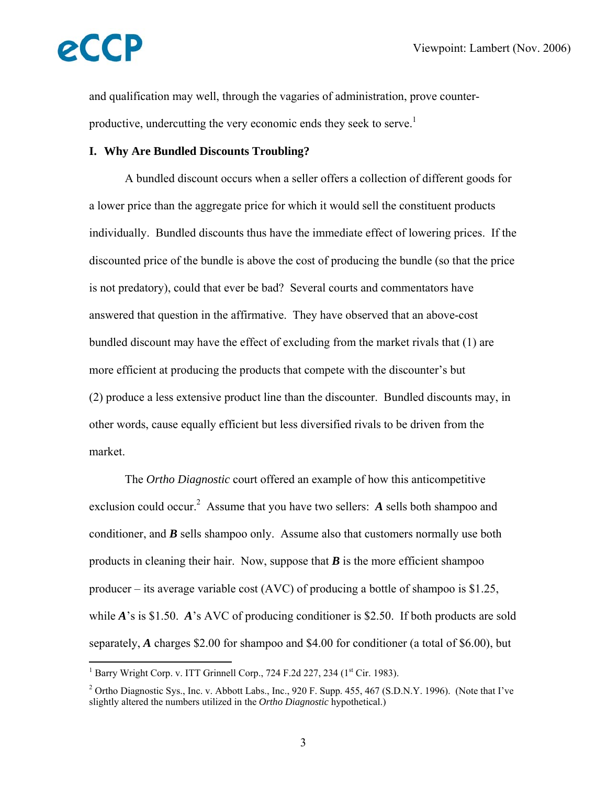

and qualification may well, through the vagaries of administration, prove counterproductive, undercutting the very economic ends they seek to serve.<sup>1</sup>

#### **I. Why Are Bundled Discounts Troubling?**

A bundled discount occurs when a seller offers a collection of different goods for a lower price than the aggregate price for which it would sell the constituent products individually. Bundled discounts thus have the immediate effect of lowering prices. If the discounted price of the bundle is above the cost of producing the bundle (so that the price is not predatory), could that ever be bad? Several courts and commentators have answered that question in the affirmative. They have observed that an above-cost bundled discount may have the effect of excluding from the market rivals that (1) are more efficient at producing the products that compete with the discounter's but (2) produce a less extensive product line than the discounter. Bundled discounts may, in other words, cause equally efficient but less diversified rivals to be driven from the market.

 The *Ortho Diagnostic* court offered an example of how this anticompetitive exclusion could occur.<sup>2</sup> Assume that you have two sellers: A sells both shampoo and conditioner, and *B* sells shampoo only. Assume also that customers normally use both products in cleaning their hair. Now, suppose that  $\bm{B}$  is the more efficient shampoo producer – its average variable cost (AVC) of producing a bottle of shampoo is \$1.25, while *A*'s is \$1.50. *A*'s AVC of producing conditioner is \$2.50. If both products are sold separately, *A* charges \$2.00 for shampoo and \$4.00 for conditioner (a total of \$6.00), but

<sup>&</sup>lt;sup>1</sup> Barry Wright Corp. v. ITT Grinnell Corp., 724 F.2d 227, 234 (1<sup>st</sup> Cir. 1983).

<sup>&</sup>lt;sup>2</sup> Ortho Diagnostic Sys., Inc. v. Abbott Labs., Inc., 920 F. Supp. 455, 467 (S.D.N.Y. 1996). (Note that I've slightly altered the numbers utilized in the *Ortho Diagnostic* hypothetical.)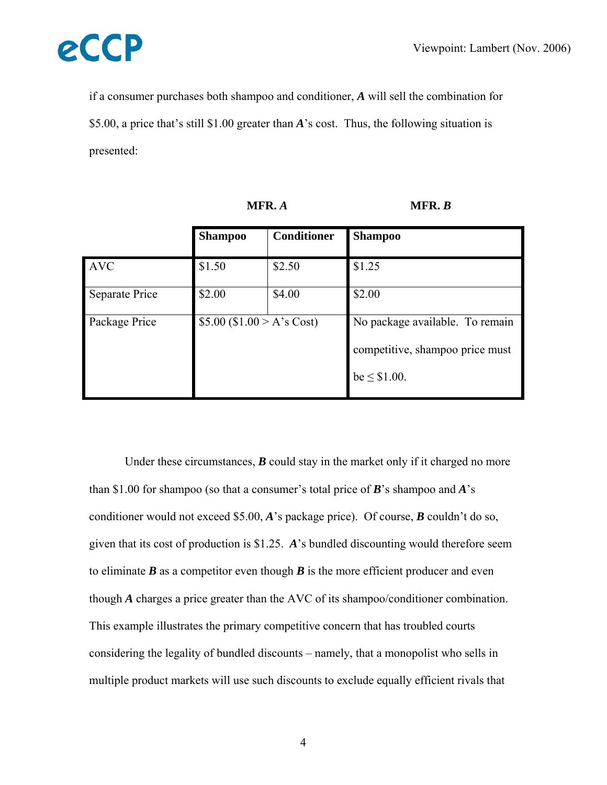

if a consumer purchases both shampoo and conditioner, *A* will sell the combination for \$5.00, a price that's still \$1.00 greater than *A*'s cost. Thus, the following situation is presented:

|                | <b>Shampoo</b>             | <b>Conditioner</b> | <b>Shampoo</b>                                                                         |
|----------------|----------------------------|--------------------|----------------------------------------------------------------------------------------|
| <b>AVC</b>     | \$1.50                     | \$2.50             | \$1.25                                                                                 |
| Separate Price | \$2.00                     | \$4.00             | \$2.00                                                                                 |
| Package Price  | \$5.00 (\$1.00 > A's Cost) |                    | No package available. To remain<br>competitive, shampoo price must<br>$be \leq $1.00.$ |

| Under these circumstances, $\bm{B}$ could stay in the market only if it charged no more            |
|----------------------------------------------------------------------------------------------------|
| than \$1.00 for shampoo (so that a consumer's total price of <b>B</b> 's shampoo and <b>A</b> 's   |
| conditioner would not exceed \$5.00, A's package price). Of course, B couldn't do so,              |
| given that its cost of production is \$1.25. A's bundled discounting would therefore seem          |
| to eliminate $\bm{B}$ as a competitor even though $\bm{B}$ is the more efficient producer and even |
| though $\vec{A}$ charges a price greater than the AVC of its shampoo/conditioner combination.      |
| This example illustrates the primary competitive concern that has troubled courts                  |
| considering the legality of bundled discounts – namely, that a monopolist who sells in             |
| multiple product markets will use such discounts to exclude equally efficient rivals that          |

**MFR.** *A* **MFR.** *B*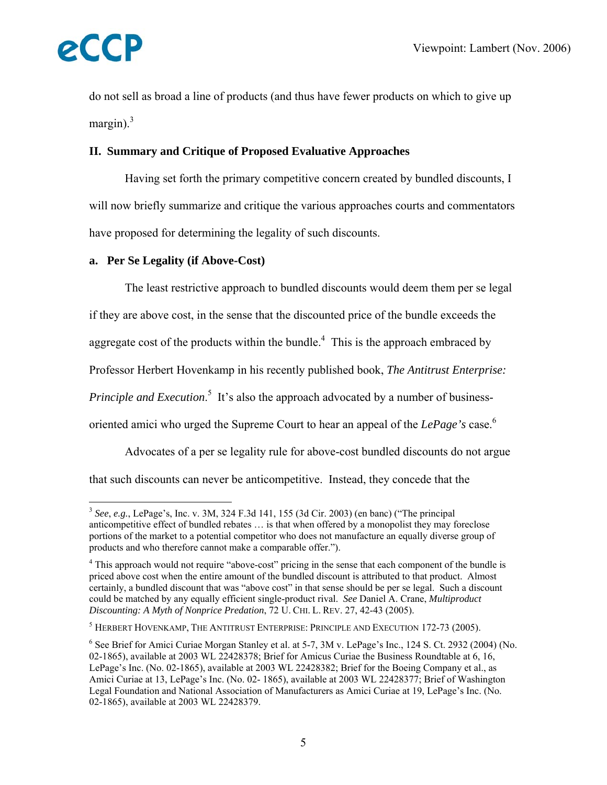

1

do not sell as broad a line of products (and thus have fewer products on which to give up margin). $3$ 

#### **II. Summary and Critique of Proposed Evaluative Approaches**

Having set forth the primary competitive concern created by bundled discounts, I will now briefly summarize and critique the various approaches courts and commentators have proposed for determining the legality of such discounts.

#### **a. Per Se Legality (if Above-Cost)**

The least restrictive approach to bundled discounts would deem them per se legal if they are above cost, in the sense that the discounted price of the bundle exceeds the aggregate cost of the products within the bundle.<sup>4</sup> This is the approach embraced by Professor Herbert Hovenkamp in his recently published book, *The Antitrust Enterprise: Principle and Execution*.<sup>5</sup> It's also the approach advocated by a number of businessoriented amici who urged the Supreme Court to hear an appeal of the *LePage's* case.6

 Advocates of a per se legality rule for above-cost bundled discounts do not argue that such discounts can never be anticompetitive. Instead, they concede that the

<sup>3</sup> *See*, *e.g.*, LePage's, Inc. v. 3M, 324 F.3d 141, 155 (3d Cir. 2003) (en banc) ("The principal anticompetitive effect of bundled rebates … is that when offered by a monopolist they may foreclose portions of the market to a potential competitor who does not manufacture an equally diverse group of products and who therefore cannot make a comparable offer.").

<sup>&</sup>lt;sup>4</sup> This approach would not require "above-cost" pricing in the sense that each component of the bundle is priced above cost when the entire amount of the bundled discount is attributed to that product. Almost certainly, a bundled discount that was "above cost" in that sense should be per se legal. Such a discount could be matched by any equally efficient single-product rival. *See* Daniel A. Crane, *Multiproduct Discounting: A Myth of Nonprice Predation*, 72 U. CHI. L. REV. 27, 42-43 (2005).

 $^5$  Herbert Hovenkamp, The Antitrust Enterprise: Principle and Execution 172-73 (2005).

<sup>&</sup>lt;sup>6</sup> See Brief for Amici Curiae Morgan Stanley et al. at 5-7, 3M v. LePage's Inc., 124 S. Ct. 2932 (2004) (No. 02-1865), available at 2003 WL 22428378; Brief for Amicus Curiae the Business Roundtable at 6, 16, LePage's Inc. (No. 02-1865), available at 2003 WL 22428382; Brief for the Boeing Company et al., as Amici Curiae at 13, LePage's Inc. (No. 02- 1865), available at 2003 WL 22428377; Brief of Washington Legal Foundation and National Association of Manufacturers as Amici Curiae at 19, LePage's Inc. (No. 02-1865), available at 2003 WL 22428379.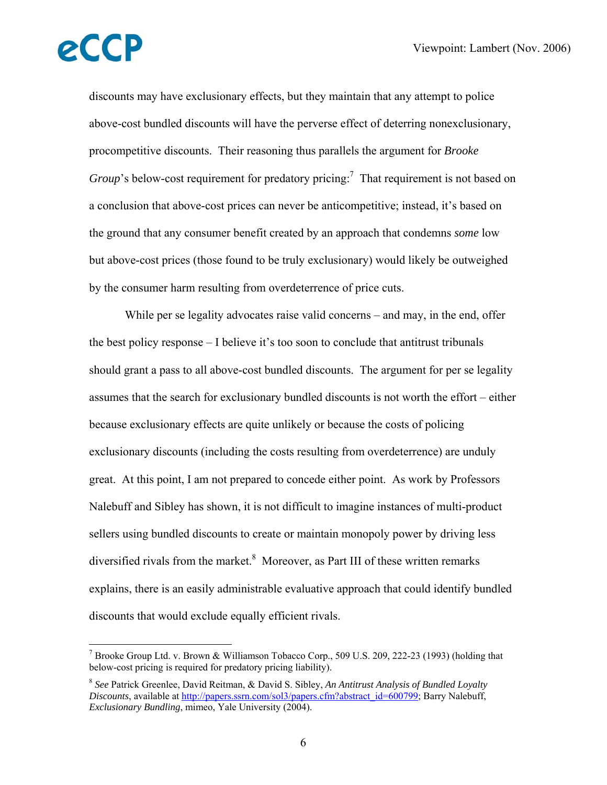$\overline{a}$ 

discounts may have exclusionary effects, but they maintain that any attempt to police above-cost bundled discounts will have the perverse effect of deterring nonexclusionary, procompetitive discounts. Their reasoning thus parallels the argument for *Brooke Group*'s below-cost requirement for predatory pricing:<sup>7</sup> That requirement is not based on a conclusion that above-cost prices can never be anticompetitive; instead, it's based on the ground that any consumer benefit created by an approach that condemns *some* low but above-cost prices (those found to be truly exclusionary) would likely be outweighed by the consumer harm resulting from overdeterrence of price cuts.

While per se legality advocates raise valid concerns – and may, in the end, offer the best policy response – I believe it's too soon to conclude that antitrust tribunals should grant a pass to all above-cost bundled discounts. The argument for per se legality assumes that the search for exclusionary bundled discounts is not worth the effort – either because exclusionary effects are quite unlikely or because the costs of policing exclusionary discounts (including the costs resulting from overdeterrence) are unduly great. At this point, I am not prepared to concede either point. As work by Professors Nalebuff and Sibley has shown, it is not difficult to imagine instances of multi-product sellers using bundled discounts to create or maintain monopoly power by driving less diversified rivals from the market. $8$  Moreover, as Part III of these written remarks explains, there is an easily administrable evaluative approach that could identify bundled discounts that would exclude equally efficient rivals.

<sup>&</sup>lt;sup>7</sup> Brooke Group Ltd. v. Brown & Williamson Tobacco Corp., 509 U.S. 209, 222-23 (1993) (holding that below-cost pricing is required for predatory pricing liability).

<sup>8</sup> *See* Patrick Greenlee, David Reitman, & David S. Sibley, *An Antitrust Analysis of Bundled Loyalty Discounts*, available at http://papers.ssrn.com/sol3/papers.cfm?abstract\_id=600799; Barry Nalebuff, *Exclusionary Bundling*, mimeo, Yale University (2004).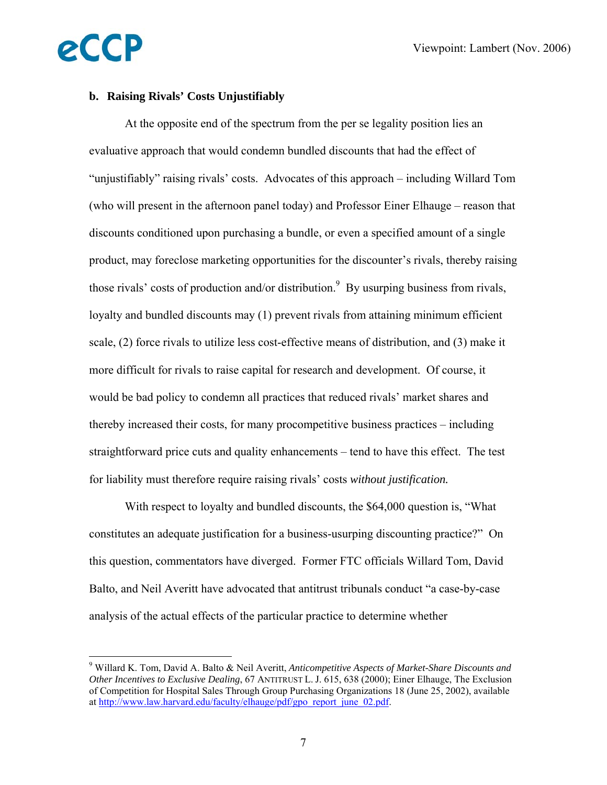#### **b. Raising Rivals' Costs Unjustifiably**

eCCP

 $\overline{a}$ 

At the opposite end of the spectrum from the per se legality position lies an evaluative approach that would condemn bundled discounts that had the effect of "unjustifiably" raising rivals' costs. Advocates of this approach – including Willard Tom (who will present in the afternoon panel today) and Professor Einer Elhauge – reason that discounts conditioned upon purchasing a bundle, or even a specified amount of a single product, may foreclose marketing opportunities for the discounter's rivals, thereby raising those rivals' costs of production and/or distribution.<sup>9</sup> By usurping business from rivals, loyalty and bundled discounts may (1) prevent rivals from attaining minimum efficient scale, (2) force rivals to utilize less cost-effective means of distribution, and (3) make it more difficult for rivals to raise capital for research and development. Of course, it would be bad policy to condemn all practices that reduced rivals' market shares and thereby increased their costs, for many procompetitive business practices – including straightforward price cuts and quality enhancements – tend to have this effect. The test for liability must therefore require raising rivals' costs *without justification.*

 With respect to loyalty and bundled discounts, the \$64,000 question is, "What constitutes an adequate justification for a business-usurping discounting practice?" On this question, commentators have diverged. Former FTC officials Willard Tom, David Balto, and Neil Averitt have advocated that antitrust tribunals conduct "a case-by-case analysis of the actual effects of the particular practice to determine whether

<sup>9</sup> Willard K. Tom, David A. Balto & Neil Averitt, *Anticompetitive Aspects of Market-Share Discounts and Other Incentives to Exclusive Dealing*, 67 ANTITRUST L. J. 615, 638 (2000); Einer Elhauge, The Exclusion of Competition for Hospital Sales Through Group Purchasing Organizations 18 (June 25, 2002), available at http://www.law.harvard.edu/faculty/elhauge/pdf/gpo\_report\_june\_02.pdf.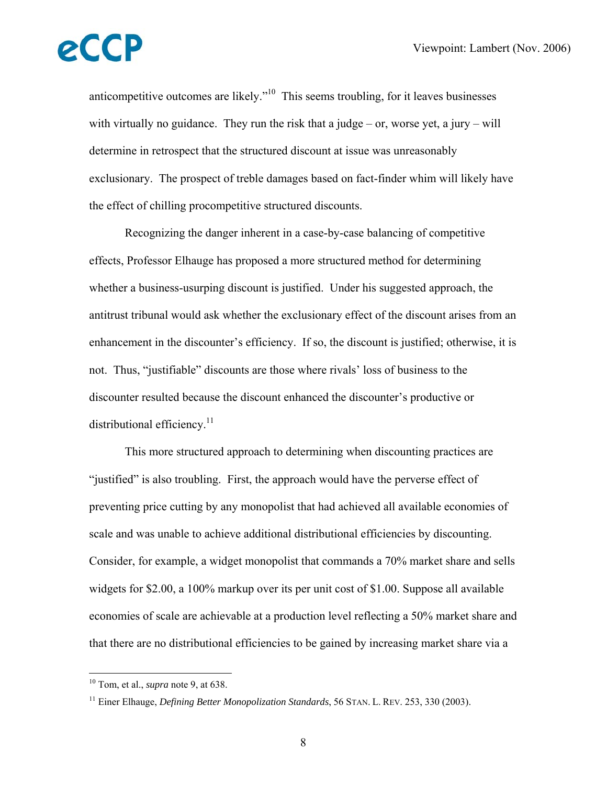anticompetitive outcomes are likely."10 This seems troubling, for it leaves businesses with virtually no guidance. They run the risk that a judge – or, worse yet, a jury – will determine in retrospect that the structured discount at issue was unreasonably exclusionary. The prospect of treble damages based on fact-finder whim will likely have the effect of chilling procompetitive structured discounts.

 Recognizing the danger inherent in a case-by-case balancing of competitive effects, Professor Elhauge has proposed a more structured method for determining whether a business-usurping discount is justified. Under his suggested approach, the antitrust tribunal would ask whether the exclusionary effect of the discount arises from an enhancement in the discounter's efficiency. If so, the discount is justified; otherwise, it is not. Thus, "justifiable" discounts are those where rivals' loss of business to the discounter resulted because the discount enhanced the discounter's productive or distributional efficiency. $11$ 

 This more structured approach to determining when discounting practices are "justified" is also troubling. First, the approach would have the perverse effect of preventing price cutting by any monopolist that had achieved all available economies of scale and was unable to achieve additional distributional efficiencies by discounting. Consider, for example, a widget monopolist that commands a 70% market share and sells widgets for \$2.00, a 100% markup over its per unit cost of \$1.00. Suppose all available economies of scale are achievable at a production level reflecting a 50% market share and that there are no distributional efficiencies to be gained by increasing market share via a

<sup>10</sup> Tom, et al., *supra* note 9, at 638.

<sup>11</sup> Einer Elhauge, *Defining Better Monopolization Standards*, 56 STAN. L. REV. 253, 330 (2003).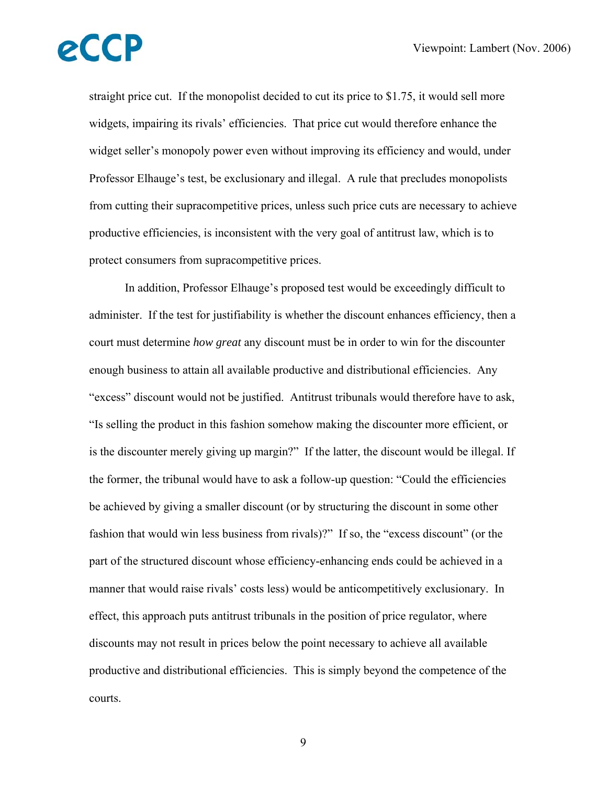straight price cut. If the monopolist decided to cut its price to \$1.75, it would sell more widgets, impairing its rivals' efficiencies. That price cut would therefore enhance the widget seller's monopoly power even without improving its efficiency and would, under Professor Elhauge's test, be exclusionary and illegal. A rule that precludes monopolists from cutting their supracompetitive prices, unless such price cuts are necessary to achieve productive efficiencies, is inconsistent with the very goal of antitrust law, which is to protect consumers from supracompetitive prices.

 In addition, Professor Elhauge's proposed test would be exceedingly difficult to administer. If the test for justifiability is whether the discount enhances efficiency, then a court must determine *how great* any discount must be in order to win for the discounter enough business to attain all available productive and distributional efficiencies. Any "excess" discount would not be justified. Antitrust tribunals would therefore have to ask, "Is selling the product in this fashion somehow making the discounter more efficient, or is the discounter merely giving up margin?" If the latter, the discount would be illegal. If the former, the tribunal would have to ask a follow-up question: "Could the efficiencies be achieved by giving a smaller discount (or by structuring the discount in some other fashion that would win less business from rivals)?" If so, the "excess discount" (or the part of the structured discount whose efficiency-enhancing ends could be achieved in a manner that would raise rivals' costs less) would be anticompetitively exclusionary. In effect, this approach puts antitrust tribunals in the position of price regulator, where discounts may not result in prices below the point necessary to achieve all available productive and distributional efficiencies. This is simply beyond the competence of the courts.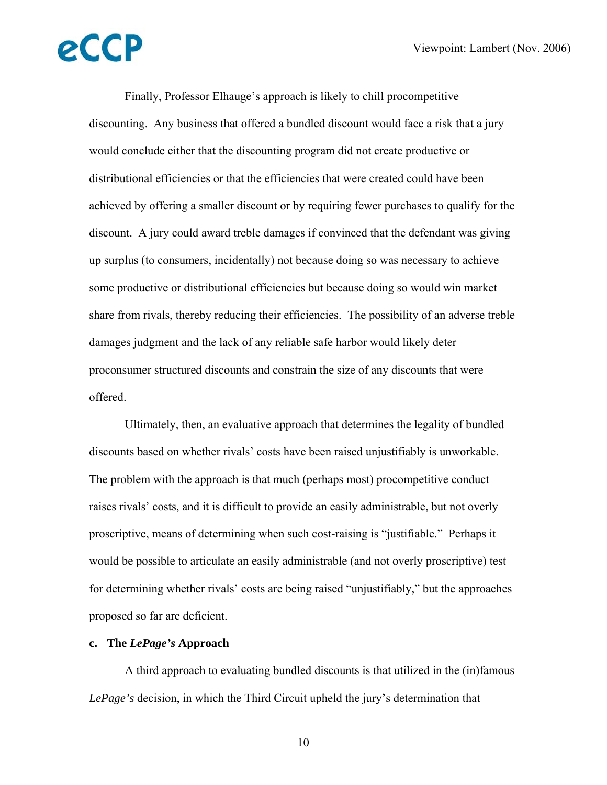Finally, Professor Elhauge's approach is likely to chill procompetitive discounting. Any business that offered a bundled discount would face a risk that a jury would conclude either that the discounting program did not create productive or distributional efficiencies or that the efficiencies that were created could have been achieved by offering a smaller discount or by requiring fewer purchases to qualify for the discount. A jury could award treble damages if convinced that the defendant was giving up surplus (to consumers, incidentally) not because doing so was necessary to achieve some productive or distributional efficiencies but because doing so would win market share from rivals, thereby reducing their efficiencies. The possibility of an adverse treble damages judgment and the lack of any reliable safe harbor would likely deter proconsumer structured discounts and constrain the size of any discounts that were offered.

 Ultimately, then, an evaluative approach that determines the legality of bundled discounts based on whether rivals' costs have been raised unjustifiably is unworkable. The problem with the approach is that much (perhaps most) procompetitive conduct raises rivals' costs, and it is difficult to provide an easily administrable, but not overly proscriptive, means of determining when such cost-raising is "justifiable." Perhaps it would be possible to articulate an easily administrable (and not overly proscriptive) test for determining whether rivals' costs are being raised "unjustifiably," but the approaches proposed so far are deficient.

#### **c. The** *LePage's* **Approach**

A third approach to evaluating bundled discounts is that utilized in the (in)famous *LePage's* decision, in which the Third Circuit upheld the jury's determination that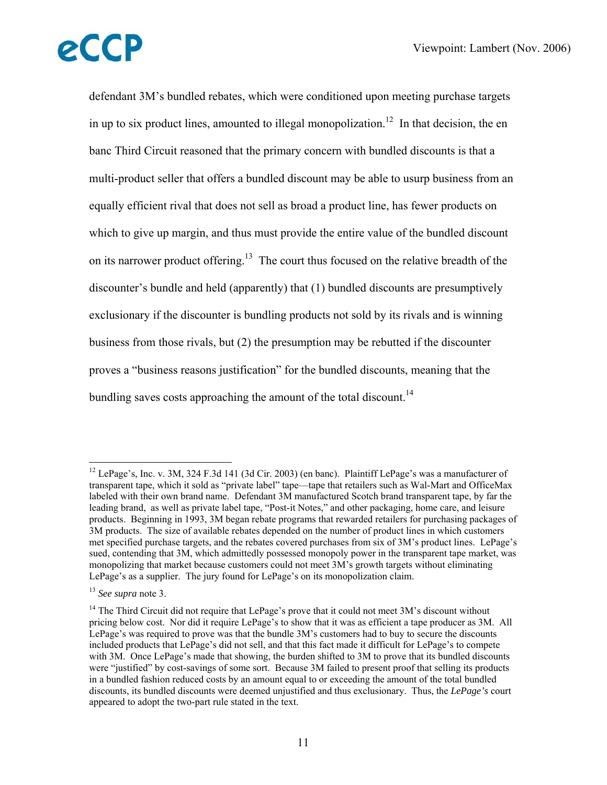defendant 3M's bundled rebates, which were conditioned upon meeting purchase targets in up to six product lines, amounted to illegal monopolization.<sup>12</sup> In that decision, the en banc Third Circuit reasoned that the primary concern with bundled discounts is that a multi-product seller that offers a bundled discount may be able to usurp business from an equally efficient rival that does not sell as broad a product line, has fewer products on which to give up margin, and thus must provide the entire value of the bundled discount on its narrower product offering.<sup>13</sup> The court thus focused on the relative breadth of the discounter's bundle and held (apparently) that (1) bundled discounts are presumptively exclusionary if the discounter is bundling products not sold by its rivals and is winning business from those rivals, but (2) the presumption may be rebutted if the discounter proves a "business reasons justification" for the bundled discounts, meaning that the bundling saves costs approaching the amount of the total discount.<sup>14</sup>

<sup>&</sup>lt;sup>12</sup> LePage's, Inc. v. 3M, 324 F.3d 141 (3d Cir. 2003) (en banc). Plaintiff LePage's was a manufacturer of transparent tape, which it sold as "private label" tape—tape that retailers such as Wal-Mart and OfficeMax labeled with their own brand name. Defendant 3M manufactured Scotch brand transparent tape, by far the leading brand, as well as private label tape, "Post-it Notes," and other packaging, home care, and leisure products. Beginning in 1993, 3M began rebate programs that rewarded retailers for purchasing packages of 3M products. The size of available rebates depended on the number of product lines in which customers met specified purchase targets, and the rebates covered purchases from six of 3M's product lines. LePage's sued, contending that 3M, which admittedly possessed monopoly power in the transparent tape market, was monopolizing that market because customers could not meet 3M's growth targets without eliminating LePage's as a supplier. The jury found for LePage's on its monopolization claim.

<sup>13</sup> *See supra* note 3.

 $14$  The Third Circuit did not require that LePage's prove that it could not meet 3M's discount without pricing below cost. Nor did it require LePage's to show that it was as efficient a tape producer as 3M. All LePage's was required to prove was that the bundle 3M's customers had to buy to secure the discounts included products that LePage's did not sell, and that this fact made it difficult for LePage's to compete with 3M. Once LePage's made that showing, the burden shifted to 3M to prove that its bundled discounts were "justified" by cost-savings of some sort. Because 3M failed to present proof that selling its products in a bundled fashion reduced costs by an amount equal to or exceeding the amount of the total bundled discounts, its bundled discounts were deemed unjustified and thus exclusionary. Thus, the *LePage's* court appeared to adopt the two-part rule stated in the text.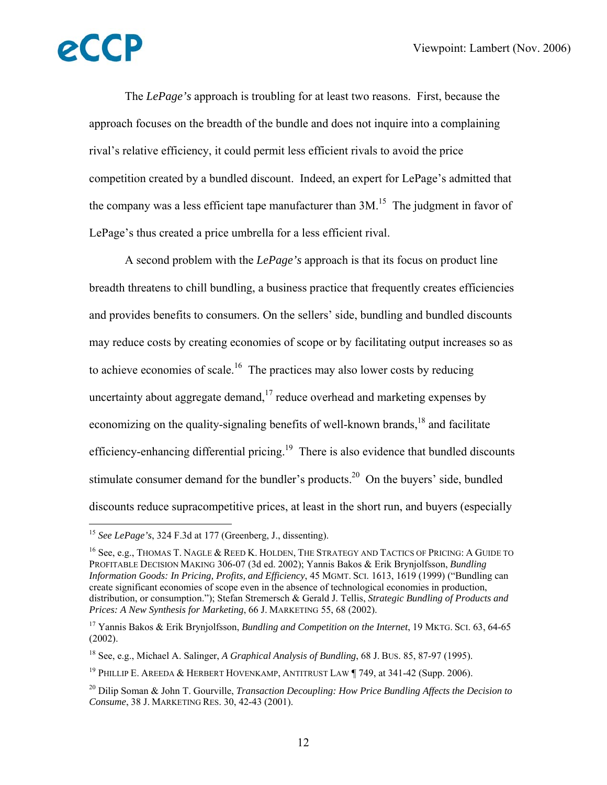$\overline{a}$ 

 The *LePage's* approach is troubling for at least two reasons. First, because the approach focuses on the breadth of the bundle and does not inquire into a complaining rival's relative efficiency, it could permit less efficient rivals to avoid the price competition created by a bundled discount. Indeed, an expert for LePage's admitted that the company was a less efficient tape manufacturer than  $3M<sup>15</sup>$ . The judgment in favor of LePage's thus created a price umbrella for a less efficient rival.

 A second problem with the *LePage's* approach is that its focus on product line breadth threatens to chill bundling, a business practice that frequently creates efficiencies and provides benefits to consumers. On the sellers' side, bundling and bundled discounts may reduce costs by creating economies of scope or by facilitating output increases so as to achieve economies of scale.<sup>16</sup> The practices may also lower costs by reducing uncertainty about aggregate demand, $17$  reduce overhead and marketing expenses by economizing on the quality-signaling benefits of well-known brands, $18$  and facilitate efficiency-enhancing differential pricing.<sup>19</sup> There is also evidence that bundled discounts stimulate consumer demand for the bundler's products.<sup>20</sup> On the buyers' side, bundled discounts reduce supracompetitive prices, at least in the short run, and buyers (especially

<sup>15</sup> *See LePage's*, 324 F.3d at 177 (Greenberg, J., dissenting).

<sup>16</sup> See, e.g., THOMAS T. NAGLE & REED K. HOLDEN, THE STRATEGY AND TACTICS OF PRICING: A GUIDE TO PROFITABLE DECISION MAKING 306-07 (3d ed. 2002); Yannis Bakos & Erik Brynjolfsson, *Bundling Information Goods: In Pricing, Profits, and Efficiency*, 45 MGMT. SCI. 1613, 1619 (1999) ("Bundling can create significant economies of scope even in the absence of technological economies in production, distribution, or consumption."); Stefan Stremersch & Gerald J. Tellis, *Strategic Bundling of Products and Prices: A New Synthesis for Marketing*, 66 J. MARKETING 55, 68 (2002).

<sup>17</sup> Yannis Bakos & Erik Brynjolfsson, *Bundling and Competition on the Internet*, 19 MKTG. SCI. 63, 64-65 (2002).

<sup>18</sup> See, e.g., Michael A. Salinger, *A Graphical Analysis of Bundling*, 68 J. BUS. 85, 87-97 (1995).

<sup>&</sup>lt;sup>19</sup> PHILLIP E. AREEDA & HERBERT HOVENKAMP, ANTITRUST LAW | 749, at 341-42 (Supp. 2006).

<sup>20</sup> Dilip Soman & John T. Gourville, *Transaction Decoupling: How Price Bundling Affects the Decision to Consume*, 38 J. MARKETING RES. 30, 42-43 (2001).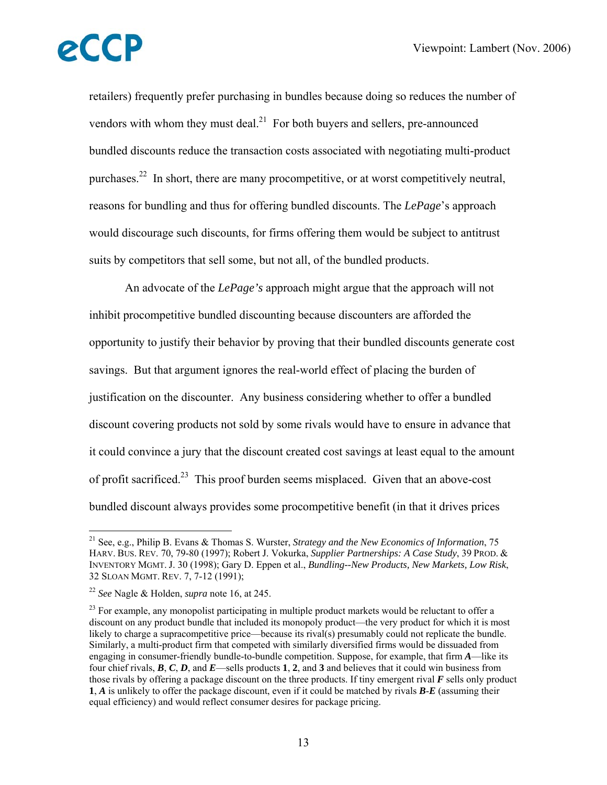retailers) frequently prefer purchasing in bundles because doing so reduces the number of vendors with whom they must deal. $^{21}$  For both buyers and sellers, pre-announced bundled discounts reduce the transaction costs associated with negotiating multi-product purchases.<sup>22</sup> In short, there are many procompetitive, or at worst competitively neutral, reasons for bundling and thus for offering bundled discounts. The *LePage*'s approach would discourage such discounts, for firms offering them would be subject to antitrust suits by competitors that sell some, but not all, of the bundled products.

 An advocate of the *LePage's* approach might argue that the approach will not inhibit procompetitive bundled discounting because discounters are afforded the opportunity to justify their behavior by proving that their bundled discounts generate cost savings. But that argument ignores the real-world effect of placing the burden of justification on the discounter. Any business considering whether to offer a bundled discount covering products not sold by some rivals would have to ensure in advance that it could convince a jury that the discount created cost savings at least equal to the amount of profit sacrificed.23 This proof burden seems misplaced. Given that an above-cost bundled discount always provides some procompetitive benefit (in that it drives prices

<sup>21</sup> See, e.g., Philip B. Evans & Thomas S. Wurster, *Strategy and the New Economics of Information*, 75 HARV. BUS. REV. 70, 79-80 (1997); Robert J. Vokurka, *Supplier Partnerships: A Case Study*, 39 PROD. & INVENTORY MGMT. J. 30 (1998); Gary D. Eppen et al., *Bundling--New Products, New Markets, Low Risk*, 32 SLOAN MGMT. REV. 7, 7-12 (1991);

<sup>22</sup> *See* Nagle & Holden, *supra* note 16, at 245.

 $^{23}$  For example, any monopolist participating in multiple product markets would be reluctant to offer a discount on any product bundle that included its monopoly product—the very product for which it is most likely to charge a supracompetitive price—because its rival(s) presumably could not replicate the bundle. Similarly, a multi-product firm that competed with similarly diversified firms would be dissuaded from engaging in consumer-friendly bundle-to-bundle competition. Suppose, for example, that firm *A*—like its four chief rivals, *B*, *C*, *D*, and *E*—sells products **1**, **2**, and **3** and believes that it could win business from those rivals by offering a package discount on the three products. If tiny emergent rival *F* sells only product **1**, *A* is unlikely to offer the package discount, even if it could be matched by rivals *B*-*E* (assuming their equal efficiency) and would reflect consumer desires for package pricing.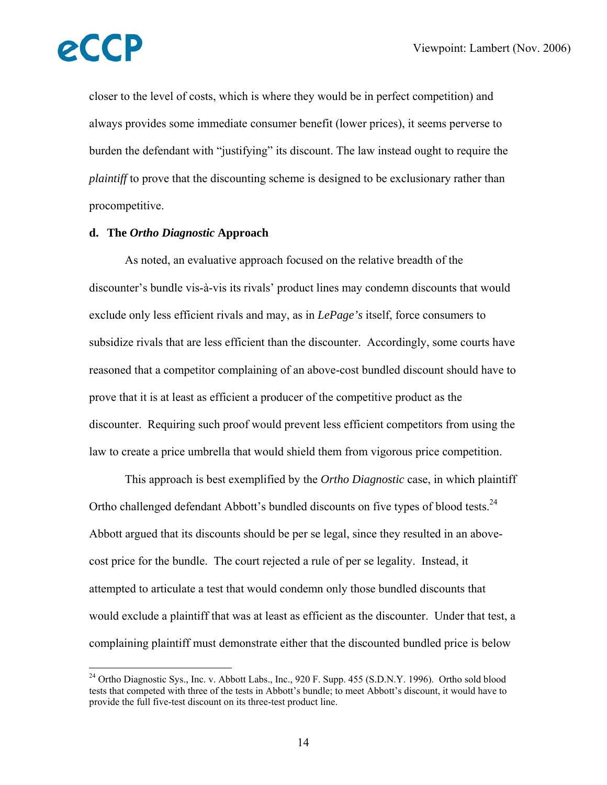

 $\overline{a}$ 

closer to the level of costs, which is where they would be in perfect competition) and always provides some immediate consumer benefit (lower prices), it seems perverse to burden the defendant with "justifying" its discount. The law instead ought to require the *plaintiff* to prove that the discounting scheme is designed to be exclusionary rather than procompetitive.

#### **d. The** *Ortho Diagnostic* **Approach**

 As noted, an evaluative approach focused on the relative breadth of the discounter's bundle vis-à-vis its rivals' product lines may condemn discounts that would exclude only less efficient rivals and may, as in *LePage's* itself, force consumers to subsidize rivals that are less efficient than the discounter. Accordingly, some courts have reasoned that a competitor complaining of an above-cost bundled discount should have to prove that it is at least as efficient a producer of the competitive product as the discounter. Requiring such proof would prevent less efficient competitors from using the law to create a price umbrella that would shield them from vigorous price competition.

 This approach is best exemplified by the *Ortho Diagnostic* case, in which plaintiff Ortho challenged defendant Abbott's bundled discounts on five types of blood tests.<sup>24</sup> Abbott argued that its discounts should be per se legal, since they resulted in an abovecost price for the bundle. The court rejected a rule of per se legality. Instead, it attempted to articulate a test that would condemn only those bundled discounts that would exclude a plaintiff that was at least as efficient as the discounter. Under that test, a complaining plaintiff must demonstrate either that the discounted bundled price is below

 $^{24}$  Ortho Diagnostic Sys., Inc. v. Abbott Labs., Inc., 920 F. Supp. 455 (S.D.N.Y. 1996). Ortho sold blood tests that competed with three of the tests in Abbott's bundle; to meet Abbott's discount, it would have to provide the full five-test discount on its three-test product line.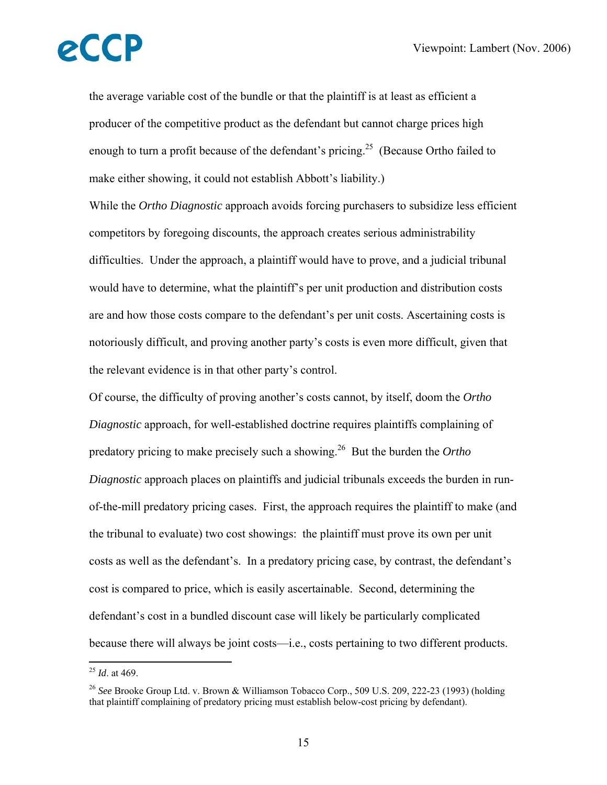the average variable cost of the bundle or that the plaintiff is at least as efficient a producer of the competitive product as the defendant but cannot charge prices high enough to turn a profit because of the defendant's pricing.<sup>25</sup> (Because Ortho failed to make either showing, it could not establish Abbott's liability.)

While the *Ortho Diagnostic* approach avoids forcing purchasers to subsidize less efficient competitors by foregoing discounts, the approach creates serious administrability difficulties. Under the approach, a plaintiff would have to prove, and a judicial tribunal would have to determine, what the plaintiff's per unit production and distribution costs are and how those costs compare to the defendant's per unit costs. Ascertaining costs is notoriously difficult, and proving another party's costs is even more difficult, given that the relevant evidence is in that other party's control.

Of course, the difficulty of proving another's costs cannot, by itself, doom the *Ortho Diagnostic* approach, for well-established doctrine requires plaintiffs complaining of predatory pricing to make precisely such a showing.26 But the burden the *Ortho Diagnostic* approach places on plaintiffs and judicial tribunals exceeds the burden in runof-the-mill predatory pricing cases. First, the approach requires the plaintiff to make (and the tribunal to evaluate) two cost showings: the plaintiff must prove its own per unit costs as well as the defendant's. In a predatory pricing case, by contrast, the defendant's cost is compared to price, which is easily ascertainable. Second, determining the defendant's cost in a bundled discount case will likely be particularly complicated because there will always be joint costs—i.e., costs pertaining to two different products.

<sup>25</sup> *Id*. at 469.

<sup>26</sup> *See* Brooke Group Ltd. v. Brown & Williamson Tobacco Corp., 509 U.S. 209, 222-23 (1993) (holding that plaintiff complaining of predatory pricing must establish below-cost pricing by defendant).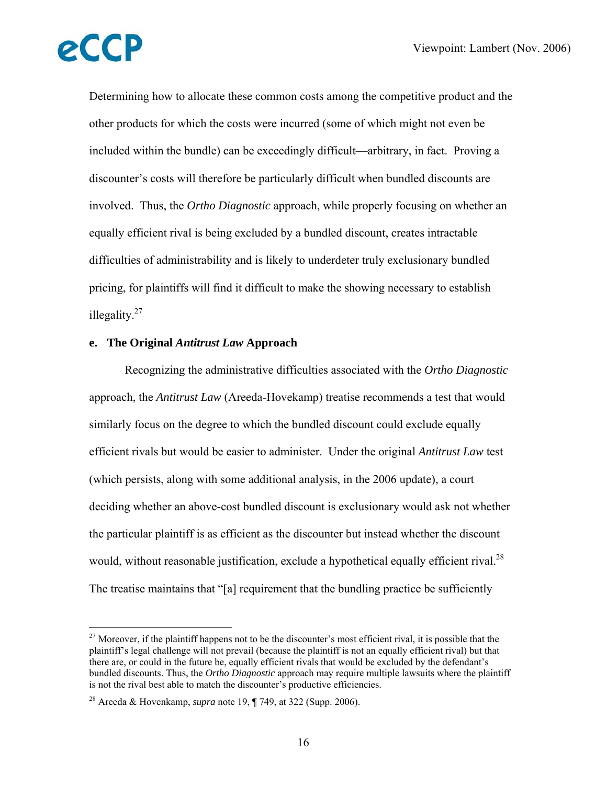1

Determining how to allocate these common costs among the competitive product and the other products for which the costs were incurred (some of which might not even be included within the bundle) can be exceedingly difficult—arbitrary, in fact. Proving a discounter's costs will therefore be particularly difficult when bundled discounts are involved. Thus, the *Ortho Diagnostic* approach, while properly focusing on whether an equally efficient rival is being excluded by a bundled discount, creates intractable difficulties of administrability and is likely to underdeter truly exclusionary bundled pricing, for plaintiffs will find it difficult to make the showing necessary to establish illegality. $27$ 

#### **e. The Original** *Antitrust Law* **Approach**

Recognizing the administrative difficulties associated with the *Ortho Diagnostic* approach, the *Antitrust Law* (Areeda-Hovekamp) treatise recommends a test that would similarly focus on the degree to which the bundled discount could exclude equally efficient rivals but would be easier to administer. Under the original *Antitrust Law* test (which persists, along with some additional analysis, in the 2006 update), a court deciding whether an above-cost bundled discount is exclusionary would ask not whether the particular plaintiff is as efficient as the discounter but instead whether the discount would, without reasonable justification, exclude a hypothetical equally efficient rival.<sup>28</sup> The treatise maintains that "[a] requirement that the bundling practice be sufficiently

<sup>&</sup>lt;sup>27</sup> Moreover, if the plaintiff happens not to be the discounter's most efficient rival, it is possible that the plaintiff's legal challenge will not prevail (because the plaintiff is not an equally efficient rival) but that there are, or could in the future be, equally efficient rivals that would be excluded by the defendant's bundled discounts. Thus, the *Ortho Diagnostic* approach may require multiple lawsuits where the plaintiff is not the rival best able to match the discounter's productive efficiencies.

<sup>28</sup> Areeda & Hovenkamp, *supra* note 19, ¶ 749, at 322 (Supp. 2006).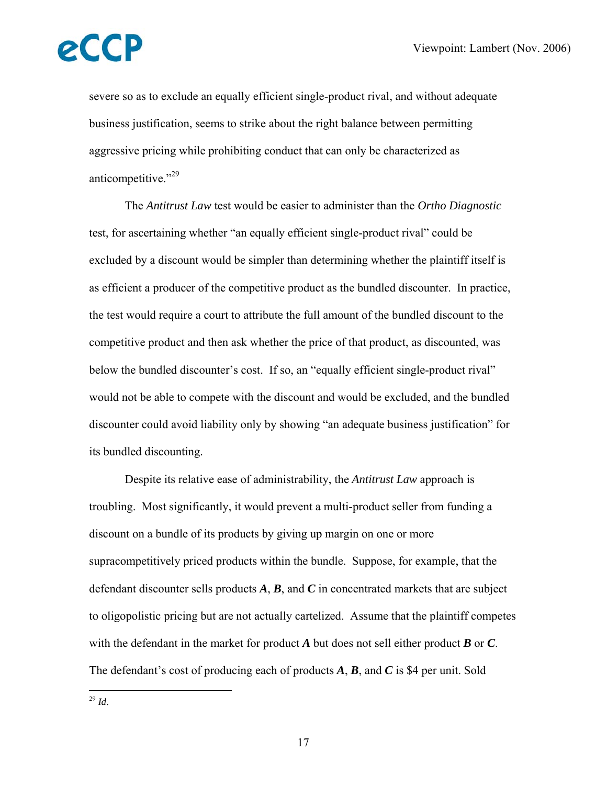severe so as to exclude an equally efficient single-product rival, and without adequate business justification, seems to strike about the right balance between permitting aggressive pricing while prohibiting conduct that can only be characterized as anticompetitive."<sup>29</sup>

 The *Antitrust Law* test would be easier to administer than the *Ortho Diagnostic* test, for ascertaining whether "an equally efficient single-product rival" could be excluded by a discount would be simpler than determining whether the plaintiff itself is as efficient a producer of the competitive product as the bundled discounter. In practice, the test would require a court to attribute the full amount of the bundled discount to the competitive product and then ask whether the price of that product, as discounted, was below the bundled discounter's cost. If so, an "equally efficient single-product rival" would not be able to compete with the discount and would be excluded, and the bundled discounter could avoid liability only by showing "an adequate business justification" for its bundled discounting.

 Despite its relative ease of administrability, the *Antitrust Law* approach is troubling. Most significantly, it would prevent a multi-product seller from funding a discount on a bundle of its products by giving up margin on one or more supracompetitively priced products within the bundle. Suppose, for example, that the defendant discounter sells products *A*, *B*, and *C* in concentrated markets that are subject to oligopolistic pricing but are not actually cartelized. Assume that the plaintiff competes with the defendant in the market for product *A* but does not sell either product *B* or *C*. The defendant's cost of producing each of products *A*, *B*, and *C* is \$4 per unit. Sold

 $\overline{a}$ <sup>29</sup> *Id*.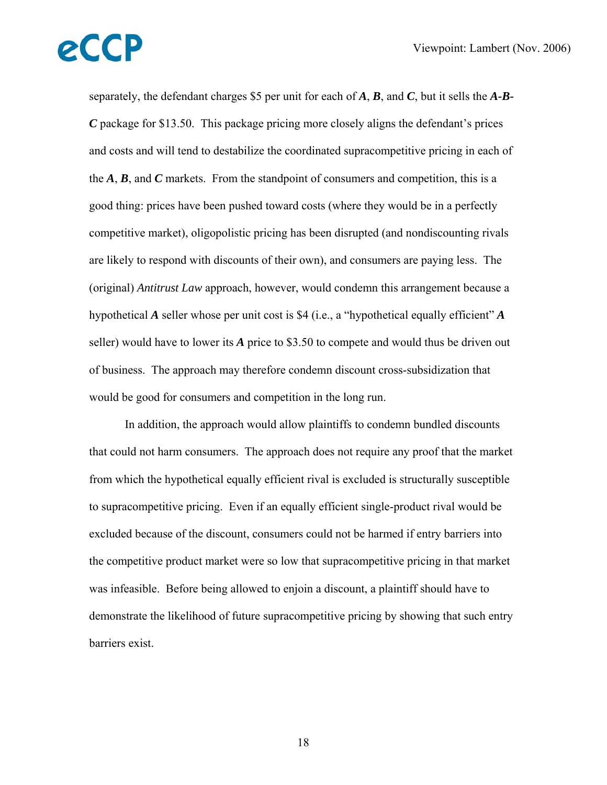separately, the defendant charges \$5 per unit for each of *A*, *B*, and *C*, but it sells the *A-B-C* package for \$13.50. This package pricing more closely aligns the defendant's prices and costs and will tend to destabilize the coordinated supracompetitive pricing in each of the *A*, *B*, and *C* markets. From the standpoint of consumers and competition, this is a good thing: prices have been pushed toward costs (where they would be in a perfectly competitive market), oligopolistic pricing has been disrupted (and nondiscounting rivals are likely to respond with discounts of their own), and consumers are paying less. The (original) *Antitrust Law* approach, however, would condemn this arrangement because a hypothetical *A* seller whose per unit cost is \$4 (i.e., a "hypothetical equally efficient" *A* seller) would have to lower its *A* price to \$3.50 to compete and would thus be driven out of business. The approach may therefore condemn discount cross-subsidization that would be good for consumers and competition in the long run.

 In addition, the approach would allow plaintiffs to condemn bundled discounts that could not harm consumers. The approach does not require any proof that the market from which the hypothetical equally efficient rival is excluded is structurally susceptible to supracompetitive pricing. Even if an equally efficient single-product rival would be excluded because of the discount, consumers could not be harmed if entry barriers into the competitive product market were so low that supracompetitive pricing in that market was infeasible. Before being allowed to enjoin a discount, a plaintiff should have to demonstrate the likelihood of future supracompetitive pricing by showing that such entry barriers exist.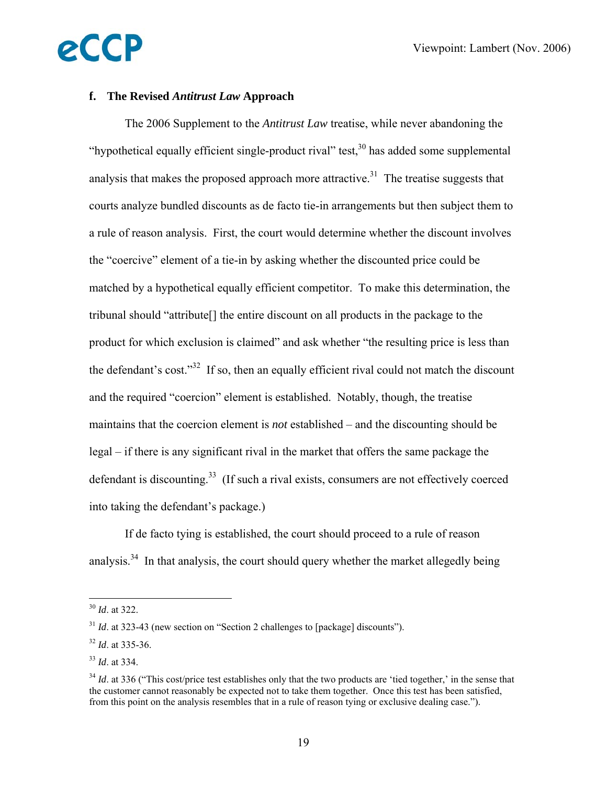### **f. The Revised** *Antitrust Law* **Approach**

eCCP

The 2006 Supplement to the *Antitrust Law* treatise, while never abandoning the "hypothetical equally efficient single-product rival" test,  $30$  has added some supplemental analysis that makes the proposed approach more attractive.<sup>31</sup> The treatise suggests that courts analyze bundled discounts as de facto tie-in arrangements but then subject them to a rule of reason analysis. First, the court would determine whether the discount involves the "coercive" element of a tie-in by asking whether the discounted price could be matched by a hypothetical equally efficient competitor. To make this determination, the tribunal should "attribute[] the entire discount on all products in the package to the product for which exclusion is claimed" and ask whether "the resulting price is less than the defendant's cost." $32$  If so, then an equally efficient rival could not match the discount and the required "coercion" element is established. Notably, though, the treatise maintains that the coercion element is *not* established – and the discounting should be legal – if there is any significant rival in the market that offers the same package the defendant is discounting.<sup>33</sup> (If such a rival exists, consumers are not effectively coerced into taking the defendant's package.)

 If de facto tying is established, the court should proceed to a rule of reason analysis.<sup>34</sup> In that analysis, the court should query whether the market allegedly being

<sup>30</sup> *Id*. at 322.

<sup>&</sup>lt;sup>31</sup> *Id.* at 323-43 (new section on "Section 2 challenges to [package] discounts").

<sup>32</sup> *Id*. at 335-36.

<sup>33</sup> *Id*. at 334.

 $34$  *Id.* at 336 ("This cost/price test establishes only that the two products are 'tied together,' in the sense that the customer cannot reasonably be expected not to take them together. Once this test has been satisfied, from this point on the analysis resembles that in a rule of reason tying or exclusive dealing case.").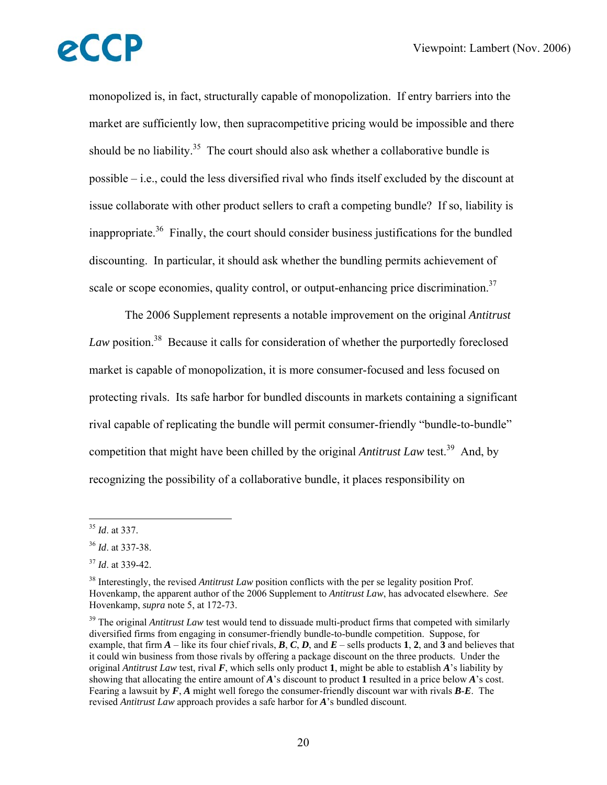monopolized is, in fact, structurally capable of monopolization. If entry barriers into the market are sufficiently low, then supracompetitive pricing would be impossible and there should be no liability.<sup>35</sup> The court should also ask whether a collaborative bundle is possible – i.e., could the less diversified rival who finds itself excluded by the discount at issue collaborate with other product sellers to craft a competing bundle? If so, liability is inappropriate.<sup>36</sup> Finally, the court should consider business justifications for the bundled discounting. In particular, it should ask whether the bundling permits achievement of scale or scope economies, quality control, or output-enhancing price discrimination.<sup>37</sup>

 The 2006 Supplement represents a notable improvement on the original *Antitrust*  Law position.<sup>38</sup> Because it calls for consideration of whether the purportedly foreclosed market is capable of monopolization, it is more consumer-focused and less focused on protecting rivals. Its safe harbor for bundled discounts in markets containing a significant rival capable of replicating the bundle will permit consumer-friendly "bundle-to-bundle" competition that might have been chilled by the original *Antitrust Law* test.<sup>39</sup> And, by recognizing the possibility of a collaborative bundle, it places responsibility on

<sup>35</sup> *Id*. at 337.

<sup>36</sup> *Id*. at 337-38.

<sup>37</sup> *Id*. at 339-42.

<sup>38</sup> Interestingly, the revised *Antitrust Law* position conflicts with the per se legality position Prof. Hovenkamp, the apparent author of the 2006 Supplement to *Antitrust Law*, has advocated elsewhere. *See* Hovenkamp, *supra* note 5, at 172-73.

<sup>&</sup>lt;sup>39</sup> The original *Antitrust Law* test would tend to dissuade multi-product firms that competed with similarly diversified firms from engaging in consumer-friendly bundle-to-bundle competition. Suppose, for example, that firm  $A$  – like its four chief rivals,  $B$ ,  $C$ ,  $D$ , and  $E$  – sells products 1, 2, and 3 and believes that it could win business from those rivals by offering a package discount on the three products. Under the original *Antitrust Law* test, rival *F*, which sells only product **1**, might be able to establish *A*'s liability by showing that allocating the entire amount of *A*'s discount to product **1** resulted in a price below *A*'s cost. Fearing a lawsuit by *F*, *A* might well forego the consumer-friendly discount war with rivals *B*-*E*. The revised *Antitrust Law* approach provides a safe harbor for *A*'s bundled discount.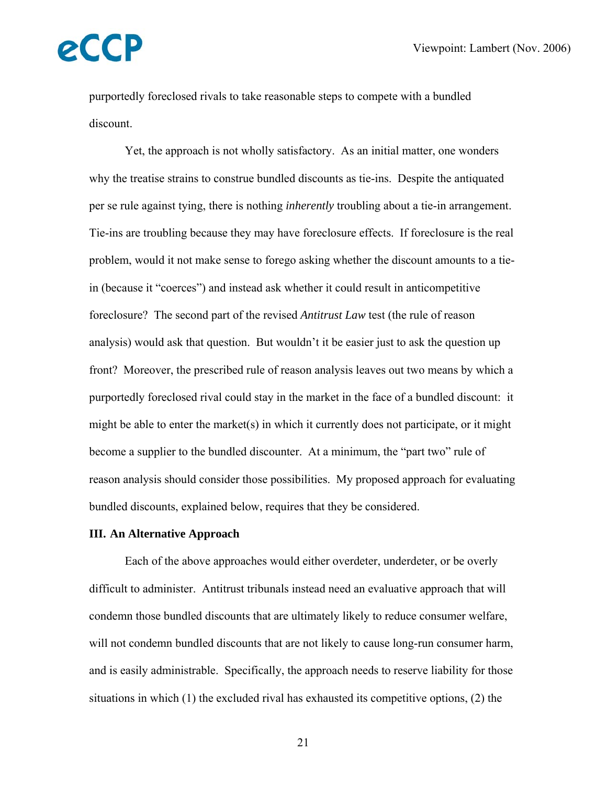purportedly foreclosed rivals to take reasonable steps to compete with a bundled discount.

 Yet, the approach is not wholly satisfactory. As an initial matter, one wonders why the treatise strains to construe bundled discounts as tie-ins. Despite the antiquated per se rule against tying, there is nothing *inherently* troubling about a tie-in arrangement. Tie-ins are troubling because they may have foreclosure effects. If foreclosure is the real problem, would it not make sense to forego asking whether the discount amounts to a tiein (because it "coerces") and instead ask whether it could result in anticompetitive foreclosure? The second part of the revised *Antitrust Law* test (the rule of reason analysis) would ask that question. But wouldn't it be easier just to ask the question up front? Moreover, the prescribed rule of reason analysis leaves out two means by which a purportedly foreclosed rival could stay in the market in the face of a bundled discount: it might be able to enter the market(s) in which it currently does not participate, or it might become a supplier to the bundled discounter. At a minimum, the "part two" rule of reason analysis should consider those possibilities. My proposed approach for evaluating bundled discounts, explained below, requires that they be considered.

#### **III. An Alternative Approach**

Each of the above approaches would either overdeter, underdeter, or be overly difficult to administer. Antitrust tribunals instead need an evaluative approach that will condemn those bundled discounts that are ultimately likely to reduce consumer welfare, will not condemn bundled discounts that are not likely to cause long-run consumer harm, and is easily administrable. Specifically, the approach needs to reserve liability for those situations in which (1) the excluded rival has exhausted its competitive options, (2) the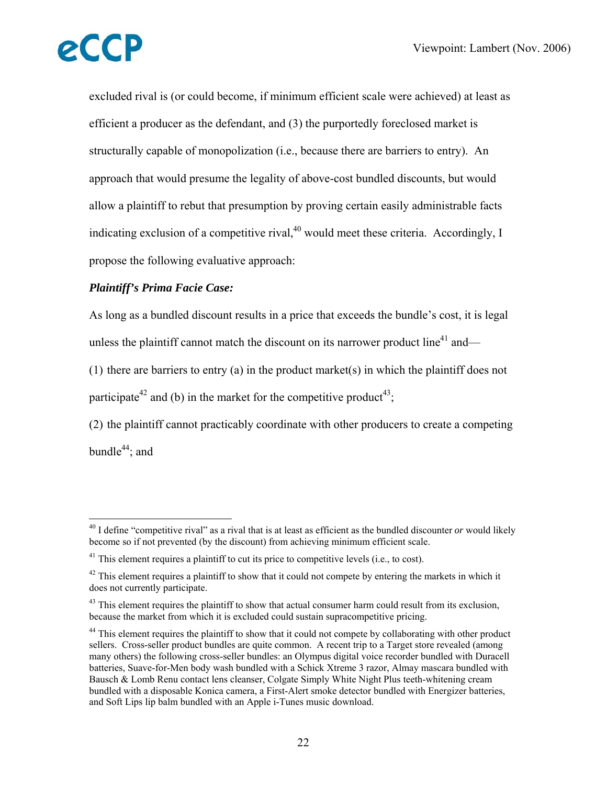$\overline{a}$ 

excluded rival is (or could become, if minimum efficient scale were achieved) at least as efficient a producer as the defendant, and (3) the purportedly foreclosed market is structurally capable of monopolization (i.e., because there are barriers to entry). An approach that would presume the legality of above-cost bundled discounts, but would allow a plaintiff to rebut that presumption by proving certain easily administrable facts indicating exclusion of a competitive rival, $40$  would meet these criteria. Accordingly, I propose the following evaluative approach:

#### *Plaintiff's Prima Facie Case:*

As long as a bundled discount results in a price that exceeds the bundle's cost, it is legal unless the plaintiff cannot match the discount on its narrower product line<sup>41</sup> and—

(1) there are barriers to entry (a) in the product market(s) in which the plaintiff does not participate<sup>42</sup> and (b) in the market for the competitive product<sup>43</sup>;

(2) the plaintiff cannot practicably coordinate with other producers to create a competing bundle $^{44}$ ; and

<sup>40</sup> I define "competitive rival" as a rival that is at least as efficient as the bundled discounter *or* would likely become so if not prevented (by the discount) from achieving minimum efficient scale.

 $41$  This element requires a plaintiff to cut its price to competitive levels (i.e., to cost).

 $42$  This element requires a plaintiff to show that it could not compete by entering the markets in which it does not currently participate.

 $43$  This element requires the plaintiff to show that actual consumer harm could result from its exclusion, because the market from which it is excluded could sustain supracompetitive pricing.

<sup>&</sup>lt;sup>44</sup> This element requires the plaintiff to show that it could not compete by collaborating with other product sellers. Cross-seller product bundles are quite common. A recent trip to a Target store revealed (among many others) the following cross-seller bundles: an Olympus digital voice recorder bundled with Duracell batteries, Suave-for-Men body wash bundled with a Schick Xtreme 3 razor, Almay mascara bundled with Bausch & Lomb Renu contact lens cleanser, Colgate Simply White Night Plus teeth-whitening cream bundled with a disposable Konica camera, a First-Alert smoke detector bundled with Energizer batteries, and Soft Lips lip balm bundled with an Apple i-Tunes music download.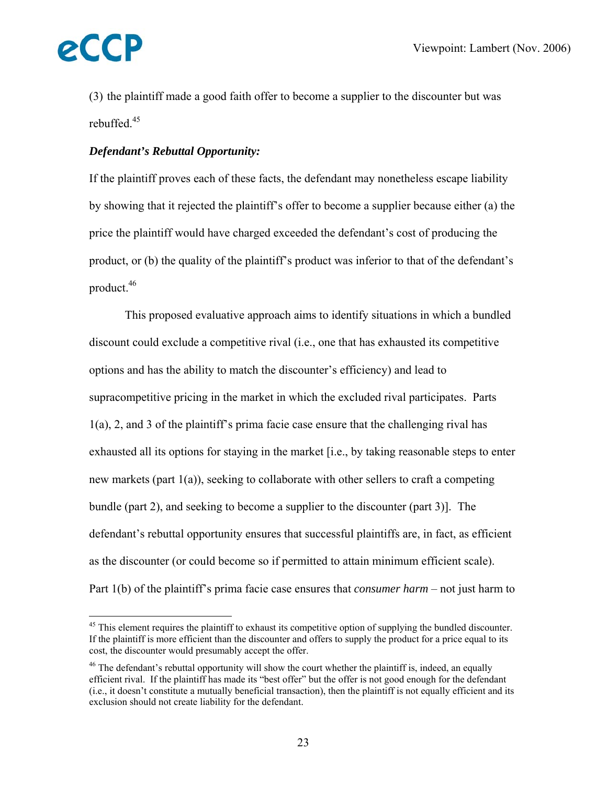

 $\overline{a}$ 

(3) the plaintiff made a good faith offer to become a supplier to the discounter but was rebuffed.<sup>45</sup>

#### *Defendant's Rebuttal Opportunity:*

If the plaintiff proves each of these facts, the defendant may nonetheless escape liability by showing that it rejected the plaintiff's offer to become a supplier because either (a) the price the plaintiff would have charged exceeded the defendant's cost of producing the product, or (b) the quality of the plaintiff's product was inferior to that of the defendant's product.46

 This proposed evaluative approach aims to identify situations in which a bundled discount could exclude a competitive rival (i.e., one that has exhausted its competitive options and has the ability to match the discounter's efficiency) and lead to supracompetitive pricing in the market in which the excluded rival participates. Parts 1(a), 2, and 3 of the plaintiff's prima facie case ensure that the challenging rival has exhausted all its options for staying in the market [i.e., by taking reasonable steps to enter new markets (part 1(a)), seeking to collaborate with other sellers to craft a competing bundle (part 2), and seeking to become a supplier to the discounter (part 3)]. The defendant's rebuttal opportunity ensures that successful plaintiffs are, in fact, as efficient as the discounter (or could become so if permitted to attain minimum efficient scale). Part 1(b) of the plaintiff's prima facie case ensures that *consumer harm* – not just harm to

<sup>&</sup>lt;sup>45</sup> This element requires the plaintiff to exhaust its competitive option of supplying the bundled discounter. If the plaintiff is more efficient than the discounter and offers to supply the product for a price equal to its cost, the discounter would presumably accept the offer.

 $46$  The defendant's rebuttal opportunity will show the court whether the plaintiff is, indeed, an equally efficient rival. If the plaintiff has made its "best offer" but the offer is not good enough for the defendant (i.e., it doesn't constitute a mutually beneficial transaction), then the plaintiff is not equally efficient and its exclusion should not create liability for the defendant.